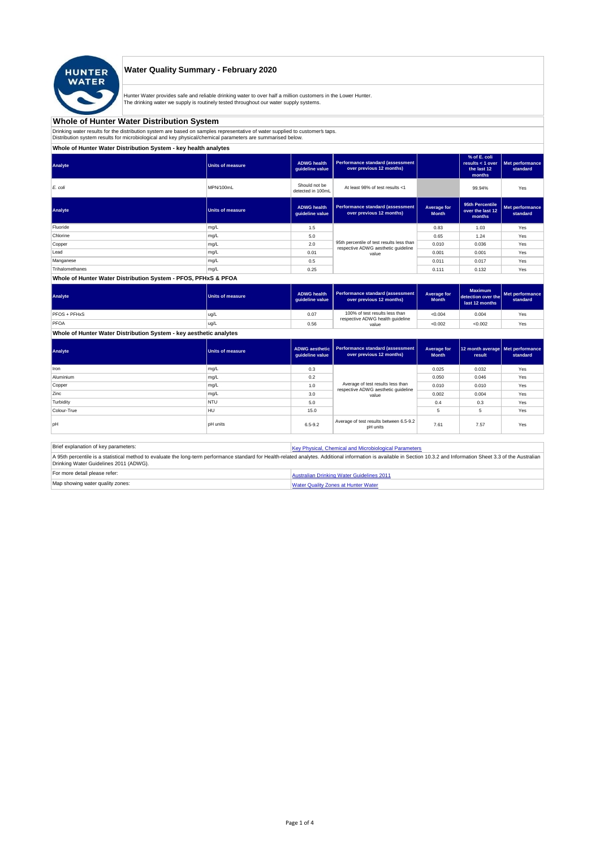

## **Water Quality Summary - February 2020**

Hunter Water provides safe and reliable drinking water to over half a million customers in the Lower Hunter.<br>The drinking water we supply is routinely tested throughout our water supply systems.

#### **Whole of Hunter Water Distribution System**

Drinking water results for the distribution system are based on samples representative of water supplied to customer's taps.<br>Distribution system results for microbiological and key physical/chemical parameters are summaris

#### **Whole of Hunter Water Distribution System - key health analytes**

| Analyte         | <b>Units of measure</b> | <b>ADWG</b> health<br>quideline value | Performance standard (assessment<br>over previous 12 months)                     |                             | % of E. coli<br>results $<$ 1 over<br>the last 12<br>months | Met performance<br>standard |  |  |
|-----------------|-------------------------|---------------------------------------|----------------------------------------------------------------------------------|-----------------------------|-------------------------------------------------------------|-----------------------------|--|--|
| E. coli         | MPN/100mL               | Should not be<br>detected in 100mL    | At least 98% of test results <1                                                  |                             | 99.94%                                                      | Yes                         |  |  |
| Analyte         | <b>Units of measure</b> | <b>ADWG</b> health<br>guideline value | Performance standard (assessment<br>over previous 12 months)                     | Average for<br><b>Month</b> | 95th Percentile<br>over the last 12<br>months               | Met performance<br>standard |  |  |
| Fluoride        | mg/L                    | 1.5                                   |                                                                                  | 0.83                        | 1.03                                                        | Yes                         |  |  |
| Chlorine        | mg/L                    | 5.0                                   |                                                                                  | 0.65                        | 1.24                                                        | Yes                         |  |  |
| Copper          | mg/L                    | 2.0                                   | 95th percentile of test results less than<br>respective ADWG aesthetic quideline | 0.010                       | 0.036                                                       | Yes                         |  |  |
| Lead            | mg/L                    | 0.01                                  | value                                                                            | 0.001                       | 0.001                                                       | Yes                         |  |  |
| Manganese       | mg/L                    | 0.5                                   |                                                                                  | 0.011                       | 0.017                                                       | Yes                         |  |  |
| Trihalomethanes | mg/L                    | 0.25                                  |                                                                                  | 0.111                       | 0.132                                                       | Yes                         |  |  |
|                 |                         |                                       |                                                                                  |                             |                                                             |                             |  |  |

#### **Whole of Hunter Water Distribution System - PFOS, PFHxS & PFOA**

| Analyte      | Units of measure | <b>ADWG health</b><br>quideline value | Performance standard (assessment  <br>over previous 12 months)     | Average for<br><b>Month</b> | <b>Maximum</b><br>detection over the<br>last 12 months | Met performance<br>standard |
|--------------|------------------|---------------------------------------|--------------------------------------------------------------------|-----------------------------|--------------------------------------------------------|-----------------------------|
| PFOS + PFHxS | ug/L             | 0.07                                  | 100% of test results less than<br>respective ADWG health guideline | < 0.004                     | 0.004                                                  | Yes                         |
| PFOA         | ug/L             | 0.56                                  | value                                                              | < 0.002                     | < 0.002                                                | Yes                         |

**Whole of Hunter Water Distribution System - key aesthetic analytes**

| Analyte     | Units of measure | ADWG aesthetic<br>quideline value | <b>Performance standard (assessment</b><br>over previous 12 months)      | Average for<br><b>Month</b> | 12 month average Met performance<br>result | standard |
|-------------|------------------|-----------------------------------|--------------------------------------------------------------------------|-----------------------------|--------------------------------------------|----------|
| Iron        | mg/L             | 0.3                               |                                                                          | 0.025                       | 0.032                                      | Yes      |
| Aluminium   | mg/L             | 0.2                               |                                                                          | 0.050                       | 0.046                                      | Yes      |
| Copper      | mg/L             | 1.0                               | Average of test results less than<br>respective ADWG aesthetic quideline | 0.010                       | 0.010                                      | Yes      |
| Zinc        | mg/L             | 3.0                               | value                                                                    | 0.002                       | 0.004                                      | Yes      |
| Turbidity   | <b>NTU</b>       | 5.0                               |                                                                          | 0.4                         | 0.3                                        | Yes      |
| Colour-True | HU               | 15.0                              |                                                                          | 5                           | 5                                          | Yes      |
| loH         | <b>pH</b> units  | $6.5 - 9.2$                       | Average of test results between 6.5-9.2<br>pH units                      | 7.61                        | 7.57                                       | Yes      |

| Brief explanation of key parameters:   | Key Physical, Chemical and Microbiological Parameters                                                                                                                                                                   |  |  |  |  |  |
|----------------------------------------|-------------------------------------------------------------------------------------------------------------------------------------------------------------------------------------------------------------------------|--|--|--|--|--|
| Drinking Water Guidelines 2011 (ADWG). | A 95th percentile is a statistical method to evaluate the long-term performance standard for Health-related analytes. Additional information is available in Section 10.3.2 and Information Sheet 3.3 of the Australian |  |  |  |  |  |
| For more detail please refer:          | Australian Drinking Water Guidelines 2011                                                                                                                                                                               |  |  |  |  |  |
| Map showing water quality zones:       | <b>Water Quality Zones at Hunter Water</b>                                                                                                                                                                              |  |  |  |  |  |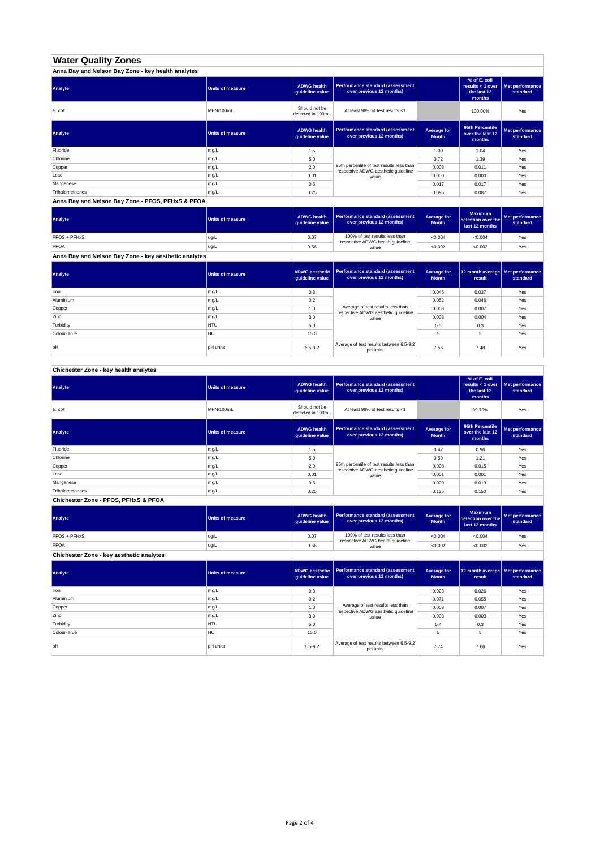# **Water Quality Zones**

| Anna Bay and Nelson Bay Zone - key health analytes |                         |                                       |                                                                                  |                             |                                                           |                             |  |  |
|----------------------------------------------------|-------------------------|---------------------------------------|----------------------------------------------------------------------------------|-----------------------------|-----------------------------------------------------------|-----------------------------|--|--|
| Analyte                                            | <b>Units of measure</b> | <b>ADWG health</b><br>quideline value | Performance standard (assessment<br>over previous 12 months)                     |                             | % of E. coli<br>results < 1 over<br>the last 12<br>months | Met performance<br>standard |  |  |
| E. coli                                            | MPN/100mL               | Should not be<br>detected in 100mL    | At least 98% of test results <1                                                  |                             | 100.00%                                                   | Yes                         |  |  |
| Analyte                                            | <b>Units of measure</b> | <b>ADWG health</b><br>guideline value | Performance standard (assessment<br>over previous 12 months)                     | Average for<br><b>Month</b> | 95th Percentile<br>over the last 12<br>months             | Met performance<br>standard |  |  |
| Fluoride                                           | mg/L                    | 1.5                                   |                                                                                  | 1.00                        | 1.04                                                      | Yes                         |  |  |
| Chlorine                                           | mg/L                    | 5.0                                   |                                                                                  | 0.72                        | 1.39                                                      | Yes                         |  |  |
| Copper                                             | mg/L                    | 2.0                                   | 95th percentile of test results less than<br>respective ADWG aesthetic quideline | 0.008                       | 0.011                                                     | Yes                         |  |  |
| Lead                                               | mg/L                    | 0.01                                  | value                                                                            | 0.000                       | 0.000                                                     | Yes                         |  |  |
| Manganese                                          | mg/L                    | 0.5                                   |                                                                                  | 0.017                       | 0.017                                                     | Yes                         |  |  |
| Trihalomethanes                                    | mg/L                    | 0.25                                  |                                                                                  | 0.095                       | 0.087                                                     | Yes                         |  |  |

#### **Anna Bay and Nelson Bay Zone - PFOS, PFHxS & PFOA**

| Analyte             | Units of measure | <b>ADWG health</b><br>quideline value | Performance standard (assessment<br>over previous 12 months) | Average for<br><b>Month</b> | <b>Maximum</b><br>detection over the<br>last 12 months | Met performance<br>standard |
|---------------------|------------------|---------------------------------------|--------------------------------------------------------------|-----------------------------|--------------------------------------------------------|-----------------------------|
| <b>PFOS + PFHxS</b> | ug/L             | 0.07                                  | 100% of test results less than                               | < 0.004                     | < 0.004                                                | Yes                         |
| PFOA                | ug/L             | 0.56                                  | respective ADWG health guideline<br>value                    | < 0.002                     | < 0.002                                                | Yes                         |

**Anna Bay and Nelson Bay Zone - key aesthetic analytes**

| Analyte     | Units of measure | quideline value | ADWG aesthetic   Performance standard (assessment<br>over previous 12 months) | Average for<br><b>Month</b> | 12 month average Met performance<br>result | standard |
|-------------|------------------|-----------------|-------------------------------------------------------------------------------|-----------------------------|--------------------------------------------|----------|
| Iron        | mg/L             | 0.3             |                                                                               | 0.045                       | 0.037                                      | Yes      |
| Aluminium   | mg/L             | 0.2             |                                                                               | 0.052                       | 0.046                                      | Yes      |
| Copper      | mg/L             | 1.0             | Average of test results less than<br>respective ADWG aesthetic guideline      | 0.008                       | 0.007                                      | Yes      |
| Zinc        | mg/L             | 3.0             | value                                                                         | 0.003                       | 0.004                                      | Yes      |
| Turbidity   | <b>NTU</b>       | 5.0             |                                                                               | 0.5                         | 0.3                                        | Yes      |
| Colour-True | HU               | 15.0            |                                                                               | 5                           | 5                                          | Yes      |
| lpH         | <b>pH</b> units  | $6.5 - 9.2$     | Average of test results between 6.5-9.2<br>pH units                           | 7.56                        | 7.48                                       | Yes      |

## **Chichester Zone - key health analytes**

| Analyte                              | Units of measure | <b>ADWG health</b><br>guideline value | Performance standard (assessment<br>over previous 12 months)                     |                             | % of E. coli<br>results < 1 over<br>the last 12<br>months | Met performance<br>standard |  |  |
|--------------------------------------|------------------|---------------------------------------|----------------------------------------------------------------------------------|-----------------------------|-----------------------------------------------------------|-----------------------------|--|--|
| E. coli                              | MPN/100mL        | Should not be<br>detected in 100mL    | At least 98% of test results <1                                                  |                             | 99.79%                                                    | Yes                         |  |  |
| Analyte                              | Units of measure | <b>ADWG</b> health<br>quideline value | Performance standard (assessment<br>over previous 12 months)                     | Average for<br><b>Month</b> | 95th Percentile<br>over the last 12<br>months             | Met performance<br>standard |  |  |
| Fluoride                             | mg/L             | 1.5                                   |                                                                                  | 0.42                        | 0.96                                                      | Yes                         |  |  |
| Chlorine                             | mg/L             | 5.0                                   |                                                                                  | 0.50                        | 1.21                                                      | Yes                         |  |  |
| Copper                               | mg/L             | 2.0                                   | 95th percentile of test results less than<br>respective ADWG aesthetic quideline | 0.008                       | 0.015                                                     | Yes                         |  |  |
| Lead                                 | mg/L             | 0.01                                  | value                                                                            | 0.001                       | 0.001                                                     | Yes                         |  |  |
| Manganese                            | mg/L             | 0.5                                   |                                                                                  | 0.009                       | 0.013                                                     | Yes                         |  |  |
| Trihalomethanes                      | mg/L             | 0.25                                  |                                                                                  | 0.125                       | 0.150                                                     | Yes                         |  |  |
| Chichester Zone - PFOS, PFHxS & PFOA |                  |                                       |                                                                                  |                             |                                                           |                             |  |  |

| Analyte                                  | <b>Units of measure</b> | <b>ADWG health</b><br>guideline value | Performance standard (assessment<br>over previous 12 months)                | Average for<br><b>Month</b> | <b>Maximum</b><br>detection over the<br>last 12 months | Met performance<br>standard |
|------------------------------------------|-------------------------|---------------------------------------|-----------------------------------------------------------------------------|-----------------------------|--------------------------------------------------------|-----------------------------|
| <b>PFOS + PFHxS</b>                      | ug/L                    | 0.07                                  | 100% of test results less than<br>respective ADWG health guideline<br>value | < 0.004                     | < 0.004                                                | Yes                         |
| <b>PFOA</b>                              | lug/L                   | 0.56                                  |                                                                             | < 0.002                     | < 0.002                                                | Yes                         |
| Chichester Zone - key aesthetic analytes |                         |                                       |                                                                             |                             |                                                        |                             |

| Analyte     | <b>Units of measure</b> | guideline value | ADWG aesthetic   Performance standard (assessment<br>over previous 12 months) | Average for<br><b>Month</b> | 12 month average   Met performance<br>result | standard |
|-------------|-------------------------|-----------------|-------------------------------------------------------------------------------|-----------------------------|----------------------------------------------|----------|
| Iron        | mg/L                    | 0.3             |                                                                               | 0.023                       | 0.026                                        | Yes      |
| Aluminium   | mg/L                    | 0.2             |                                                                               | 0.071                       | 0.055                                        | Yes      |
| Copper      | mg/L                    | 1.0             | Average of test results less than<br>respective ADWG aesthetic quideline      | 0.008                       | 0.007                                        | Yes      |
| Zinc        | mg/L                    | 3.0             | value                                                                         | 0.003                       | 0.003                                        | Yes      |
| Turbidity   | <b>NTU</b>              | 5.0             |                                                                               | 0.4                         | 0.3                                          | Yes      |
| Colour-True | HU                      | 15.0            |                                                                               | 5                           | 5                                            | Yes      |
| loH         | <b>pH</b> units         | $6.5 - 9.2$     | Average of test results between 6.5-9.2<br>pH units                           | 7.74                        | 7.66                                         | Yes      |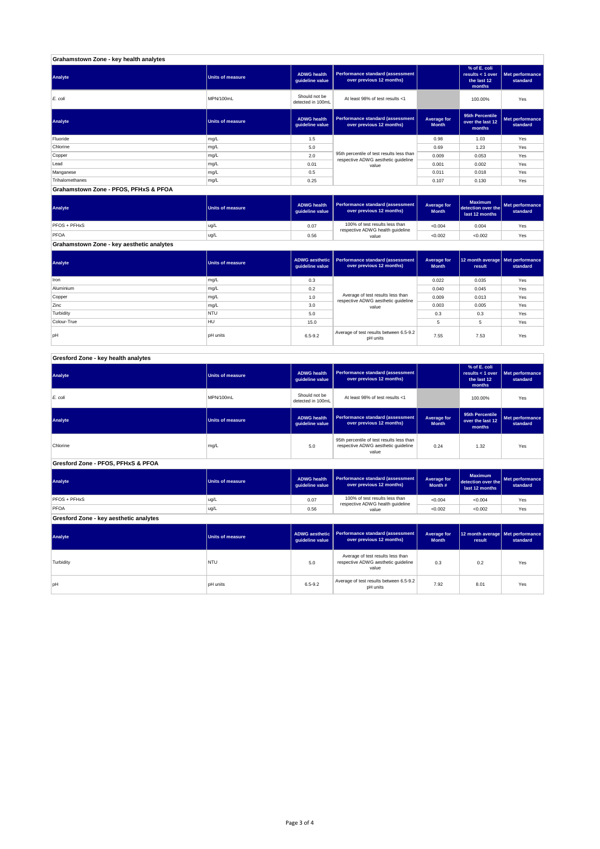| Grahamstown Zone - key health analytes |                         |                                       |                                                                                  |                             |                                                           |                             |  |  |
|----------------------------------------|-------------------------|---------------------------------------|----------------------------------------------------------------------------------|-----------------------------|-----------------------------------------------------------|-----------------------------|--|--|
| Analyte                                | <b>Units of measure</b> | <b>ADWG health</b><br>guideline value | Performance standard (assessment<br>over previous 12 months)                     |                             | % of E. coli<br>results < 1 over<br>the last 12<br>months | Met performance<br>standard |  |  |
| E. coli                                | MPN/100mL               | Should not be<br>detected in 100mL    | At least 98% of test results <1                                                  |                             | 100.00%                                                   | Yes                         |  |  |
| Analyte                                | <b>Units of measure</b> | <b>ADWG health</b><br>guideline value | Performance standard (assessment<br>over previous 12 months)                     | Average for<br><b>Month</b> | 95th Percentile<br>over the last 12<br>months             | Met performance<br>standard |  |  |
| Fluoride                               | mg/L                    | 1.5                                   |                                                                                  | 0.98                        | 1.03                                                      | Yes                         |  |  |
| Chlorine                               | mg/L                    | 5.0                                   |                                                                                  | 0.69                        | 1.23                                                      | Yes                         |  |  |
| Copper                                 | mg/L                    | 2.0                                   | 95th percentile of test results less than<br>respective ADWG aesthetic quideline | 0.009                       | 0.053                                                     | Yes                         |  |  |
| Lead                                   | mg/L                    | 0.01                                  | value                                                                            | 0.001                       | 0.002                                                     | Yes                         |  |  |
| Manganese                              | mg/L                    | 0.5                                   |                                                                                  | 0.011                       | 0.018                                                     | Yes                         |  |  |
| Trihalomethanes                        | mg/L                    | 0.25                                  |                                                                                  | 0.107                       | 0.130                                                     | Yes                         |  |  |
| Grahamstown Zone - PFOS, PFHxS & PFOA  |                         |                                       |                                                                                  |                             |                                                           |                             |  |  |

| Analyte                                   | Units of measure | <b>ADWG health</b><br>guideline value | Performance standard (assessment<br>over previous 12 months)       | <b>Average for</b><br><b>Month</b> | <b>Maximum</b><br>detection over the<br>last 12 months | Met performance<br>standard |  |
|-------------------------------------------|------------------|---------------------------------------|--------------------------------------------------------------------|------------------------------------|--------------------------------------------------------|-----------------------------|--|
| PFOS + PFHxS                              | ug/L             | 0.07                                  | 100% of test results less than<br>respective ADWG health guideline | < 0.004                            | 0.004                                                  | Yes                         |  |
| PFOA                                      | ug/L             | 0.56                                  | value                                                              | < 0.002                            | < 0.002                                                | Yes                         |  |
| Grahamstown Zone - key aesthetic analytes |                  |                                       |                                                                    |                                    |                                                        |                             |  |

| Analyte     | <b>Units of measure</b> | quideline value | ADWG aesthetic   Performance standard (assessment<br>over previous 12 months) | Average for<br><b>Month</b> | 12 month average   Met performance<br>result | standard |
|-------------|-------------------------|-----------------|-------------------------------------------------------------------------------|-----------------------------|----------------------------------------------|----------|
| Iron        | mg/L                    | 0.3             |                                                                               | 0.022                       | 0.035                                        | Yes      |
| Aluminium   | mg/L                    | 0.2             |                                                                               | 0.040                       | 0.045                                        | Yes      |
| Copper      | mg/L                    | 1.0             | Average of test results less than<br>respective ADWG aesthetic quideline      | 0.009                       | 0.013                                        | Yes      |
| Zinc        | mg/L                    | 3.0             | value                                                                         | 0.003                       | 0.005                                        | Yes      |
| Turbidity   | <b>NTU</b>              | 5.0             |                                                                               | 0.3                         | 0.3                                          | Yes      |
| Colour-True | <b>HU</b>               | 15.0            |                                                                               |                             | 5                                            | Yes      |
| pH          | <b>pH</b> units         | $6.5 - 9.2$     | Average of test results between 6.5-9.2<br>pH units                           | 7.55                        | 7.53                                         | Yes      |

## **Gresford Zone - key health analytes**

| Analyte                                | <b>Units of measure</b> | <b>ADWG health</b><br>guideline value                                                            | Performance standard (assessment<br>over previous 12 months)        |                                                                       | % of E. coli<br>results < $1$ over<br>the last 12<br>months | Met performance<br>standard |
|----------------------------------------|-------------------------|--------------------------------------------------------------------------------------------------|---------------------------------------------------------------------|-----------------------------------------------------------------------|-------------------------------------------------------------|-----------------------------|
| E. coli                                | MPN/100mL               | Should not be<br>detected in 100ml.                                                              | At least 98% of test results <1                                     |                                                                       | 100.00%                                                     | Yes                         |
| Analyte                                | <b>Units of measure</b> | <b>ADWG health</b><br>guideline value                                                            | <b>Performance standard (assessment</b><br>over previous 12 months) | <b>Average for</b><br><b>Month</b>                                    | 95th Percentile<br>over the last 12<br>months               | Met performance<br>standard |
| Chlorine                               | mg/L                    | 95th percentile of test results less than<br>respective ADWG aesthetic quideline<br>5.0<br>value |                                                                     | 0.24                                                                  | 1.32                                                        | Yes                         |
| Gresford Zone - PFOS, PFHxS & PFOA     |                         |                                                                                                  |                                                                     |                                                                       |                                                             |                             |
| Analyte                                | Units of measure        | <b>ADWG health</b><br>guideline value                                                            | <b>Performance standard (assessment</b><br>over previous 12 months) | <b>Average for</b><br>detection over the<br>Month #<br>last 12 months |                                                             | Met performance<br>standard |
| PFOS + PFHxS                           | ug/L                    | 0.07                                                                                             | 100% of test results less than<br>respective ADWG health guideline  | < 0.004                                                               | < 0.004                                                     | Yes                         |
| PFOA                                   | ug/L                    | 0.56                                                                                             | value                                                               | < 0.002                                                               | < 0.002                                                     | Yes                         |
| Gresford Zone - key aesthetic analytes |                         |                                                                                                  |                                                                     |                                                                       |                                                             |                             |
| Analyte                                | <b>Units of measure</b> | <b>ADWG</b> aesthetic<br>guideline value                                                         | <b>Performance standard (assessment</b><br>over previous 12 months) | <b>Average for</b><br><b>Month</b>                                    | 12 month average   Met performance<br>result                | standard                    |
|                                        |                         |                                                                                                  | Accounting of these concelled from the co-                          |                                                                       |                                                             |                             |

| Analyte   | Units of measure | quideline value                                                                          | l  ADWG aesthetic  l Performance standard (assessment ∣<br>over previous 12 months) | Average for<br><b>Month</b> | 12 month average   Met perform<br>result | standard |
|-----------|------------------|------------------------------------------------------------------------------------------|-------------------------------------------------------------------------------------|-----------------------------|------------------------------------------|----------|
| Turbidity | <b>NTU</b>       | Average of test results less than<br>respective ADWG aesthetic quideline<br>5.0<br>value |                                                                                     | 0.3                         | 0.2                                      | Yes      |
| pН        | <b>pH</b> units  | Average of test results between 6.5-9.2<br>$6.5 - 9.2$<br>pH units                       |                                                                                     | 7.92                        | 8.01                                     | Yes      |